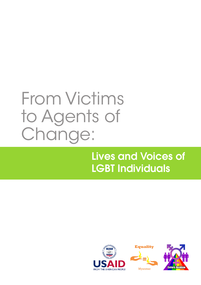

### Lives and Voices of LGBT Individuals





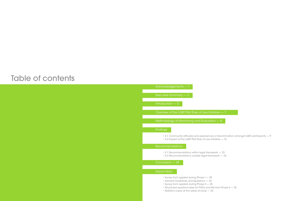### Table of contents

Acknowledgements — 1

### Appendixes:

Executive Summary — 2

Introduction — 5

Overview of the LGBT Pilot Rule of Law Initiative — 7

Methodology of Monitoring and Evaluation — 8

Findings

### Recommendations

### Conclusion — 25

• 4.1 Community attitudes and experiences of discrimination amongst LGBT participants — 9

- 
- 4.2 Impact of the LGBT Pilot Rule of Law Initiative 15

- 5.1 Recommendations within legal framework 23
- 5.2 Recommendations outside legal framework 24

- Survey form applied during Phase I 28
- General Guidelines and Questions 29
- Survey form applied during Phase II 30
- Structured questionnaires for FGDs and KIIs from Phase II 32
- Statistics cases at the areas of study 33

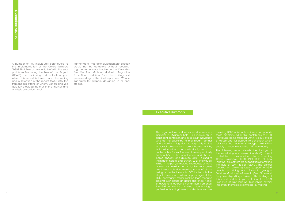A number of key individuals contributed to the implementation of the Colors Rainbow "LGBT Pilot Rule of Law Initiative" with the support from Promoting the Rule of Law Project (USAID), the monitoring and evaluation upon which this report is based, and the writing and publication of the report itself. Firstly, the tremendous efforts of Cherry Zahau and Yee Nwe Tun provided the crux of the findings and **Analysis presented herein.**<br>A number of key individuathe implementation of the implementation of the "LGBT Pilot Rule of Law Initi port from Promoting and which this report is base and publication of the rep tremendous ef

> The legal system and widespread communal attitudes in Myanmar hold LGBT individuals in significant contempt, and as a result, individuals who do not subscribe to mainstream gender and sexuality categories are frequently victims of verbal, physical and sexual harassment by both fellow citizens and authority figures (such as the police force). The rule of law – specifically Section 377 of the penal code and the socalled "shadow and disguise" acts – is used to intimidate, harass and punish LGBT individuals. While in the past, formalized knowledge of these abuses has been low, human rights campaigners are increasingly documenting cases of abuse being committed towards LGBT individuals. The illegal status and cultural stigma against the LGBT community makes seeking legal recourse against such abuse an acute challenge. A lack of awareness regarding human rights amongst the LGBT community, as well as a dearth in legal professionals willing to assist and advise in cases

### Executive Summary

Furthermore, this acknowledgement section would not be complete without recognizing the tremendous involvement of Daw Khin Ma Ma Aye, Michael McGrath, Augustine Pyae Sone and Zaw Bo in the editing and proof-reading of the final report and Wunna Yannaing for graphic designing in its final stages.

> involving LGBT individuals seriously compounds these problems. All of this contributes to LGBT individuals being trapped within vicious cycles of abuse and self-destructive behaviour, which reinforces the negative stereotype held within society at large towards the LGBT community.

The following report details the findings of the monitoring and evaluation (M+E) project undertaken by an external consultant concerning Colors Rainbow's "LGBT Pilot Rule of Law Initiative" project with the support from Promoting the Rule of Law Project (USAID). The project focused on providing legal support to LGBT people in Hlaingtharya Township (Yangon Division), Mawlamyine Township (Mon State) and Pyay Township (Bago Division). The findings of this report, and the implementation of the LGBT Pilot Rule of Law Initiative, highlighted several important themes relevant to policy-making: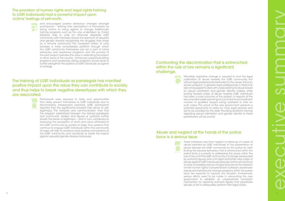The provision of human rights and legal rights training to LGBT individuals had a powerful impact upon victims' feelings of self-worth,

The training of LGBT individuals as paralegals has manifest positive impact upon the value they can contribute to society, and thus helps to break negative stereotypes with which they are associated.

Ultimately, legislative change is required to end the legal justification of abuse towards the LGBT community, but without legal professionals dedicated to the cause, this is an elusive prospect. In general, legal professionals in Myanmar are not equipped to deal with cases relating to abuse based on sexual orientation and gender identity. Indeed, while putting forward cases of abuse towards LGBT individuals has been a core outcome of the project, a majority of the documented cases cannot go to court due to an insufficient number of qualified lawyers being available to take on such cases. The arrival of the new government presents a potential opportunity to lobby for more legal services and aid to be provided by the state. Providing sensitivity training regarding sexual orientation and gender identity to these practitioners will be crucial.

These instances vary from neglect to follow-up on cases of abuse reported by LGBT individuals, to the perpetration of abuse towards the LGBT community by the police for itself. Ending the abusive behaviour that is entrenched within the police force is a priority to addressing the issues within the rule of law. Until the LGBT community is no longer persecuted by authority figures, and until legal authorities take cases of abuse against LGBT individuals seriously, victims will continue to have no feasible avenue of legal recourse for the violation of their human rights. Comprehensive outreach, awarenessraising and behavioural change programs within the police force are essential to improve this situation. Furthermore, serious efforts need to be made in advocating the new government to establish an unprejudiced complaint mechanism for reporting authority figures that perpetrate abuses or fail to adequately perform their legal duties. d

and encouraged positive behaviour changes amongst participants – altering their perceptions of themselves as being victims, to being agents of change. Additionally, training programs such as the one undertaken by Colors Rainbow help to unite an otherwise disparate LGBT community, with members across the spectrum of sexuality and gender diversity recognizing the struggles they share as a minority community. This increased notion of unity provides a more consolidated platform through which the LGBT community themselves can be a part of future advocacy and awareness programs, and the success of the pilot project indicates the value in extending the project to other parts of the country. Enhanced capacity-building programs and awareness raising programs would serve to further strengthen the position of LGBT individuals as agents of change. a

Participants were exposed to tasks and opportunities that rarely present themselves to LGBT individuals due to discriminatory employment practices. LGBT participants reported that this significantly boosted their sense of selflegitimacy. The networks and communication lines that the program established between the trained paralegals and community leaders and figures of authority further boosts this sense of legitimacy – and in turn, contributes to improving the perception of worth and value attributed to the LGBT community by society at large. Thus, projects that continue to engage LGBT individuals within the community at large will help to reinforce more positive connotations of the LGBT community, and contribute to break the stigma against sexuality/gender diverse individuals. b

### Confronting the discrimination that is entrenched within the rule of law remains a significant challenge.

C

### Abuse and neglect at the hands of the police force is a serious issue.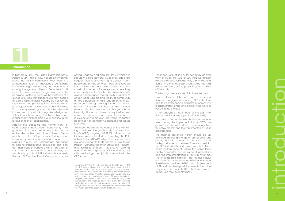Published in 2013, the United States Institute of Peace (USIP) Rule of Law Report on Myanmar found that at the community level, there is a fundamental lack of knowledge concerning basic laws, legal procedures, and mechanisms among the general citizenry. Decades of mili tary rule have rendered large swathes of the populace unable to perceive the existence of a culture of justice that supports ordinary people, and as a result, citizens typically do not see the legal system as providing them any legitimate benefit, protection or relevance to their daily lives. Thus, broadly speaking, when disputes arise with in the community, a lack of legal knowledge and skills with which to engage local officials or courts render many citizens helpless in seeking a fair resolution to their legal matters.

called "shadow and disguise" laws invested in statutory police powers. 1LGBT individuals are frequent victims of human rights abuses in both public and private spheres – including schools, work places, and their own homes – and are constantly denied of safe spaces where they could freely identify. The hostile cultural climate severely compounds the capacity of victims to obtain legal support, and the LGBT community at large appears to lack fundamental knowl edge concerning their legal rights as human beings. Although national reforms towards democratization over the past five years have been significant, much work is required to overcome the systemic and culturally reinforced injustices and repression that have impacted people of non-conforming gender and sexual identities.

Against this backdrop, the human rights of LGBT persons have been consistently marginalized. The pervasive homophobia that is embedded within the cultural values of Myan mar has led to LGBT persons suffering unique forms of oppression and discrimination as a minority group. The widespread opposition to non-heteronormative sexualities and gen der identitiesis entrenched within an array of laws that are persistently used to harass, persecute and punish LGBT individuals – namely, Section 377 of the Penal Code and the so-

> <sup>1</sup>A hangover from the colonial period, Section 377 of the Penal Code forbids against "carnal intercourse against the order of nature", and is usually targeted at gay men and transwomen. However, this law is rarely used to arrest 'offend ers' – instead, police threaten prosecution under this law, which can carry a sentence of up to 10 years, in order to instigate bribes/favours out of the LGBT persons they arrest. The "shadow and disguise" laws carry a shorter sentence (typically two months) and are acted upon by police, al though arrest for the sake of bribing those in custody is still very much common practice with this law as well.

# 6 introduction

This report details the outcomes of the Monitoring and Evaluation (M+E) study of Colors Rainbow's (CRB) ongoing 'LGBT Pilot Rule of Law Initiative' project funded by Promoting the Rule of Law Project (USAID), which focuses on provid ing legal support to LGBT people in Pyay (Bago Region), Mawlamyine (Mon State) and Hlaingth arya Township (Yangon Region). An external consultant was responsible for the M+E project, with the findings then jointly analyzed with the CRB team.

The report is structured as follows. Firstly, an overview of "LGBT Pilot Rule of Law Initiative" project will be provided. Following this, a brief explana tion of the methodology used during the M+E will be provided, before presenting the findings of the study.

The findings are separated into three sections:

i.) an exploration of the core issues of discrimina tion and marginalization facing LGBT individuals and the corresponding attitudes of community leaders, professionals and officials who were in volved in the project;



ii.) an analysis of the impact of the LGBT Pilot Rule of Law Initiative project itself and finally

iii.) a discussion of the key challenges encoun tered during the implementation of CRB's pro gram. The report will end with recommendations for policy makers and the implementers of future programming.

The findings presented herein should be un derstood as being the tip of an iceberg, and clearly indicate a need to carry out further in-depth studies on the rule of law as it pertains to LGBT individuals, and more broadly, in terms of the performance of judges, the police force, public advocates, as well as court procedures and the implementations of laws in Myanmar. The findings also highlight that further studies on thematic areas such as LGBT and Educa tion/Health services, LGBT and Employment, LGBT and Leadership will be essential in future projects aimed to lift LGBT individuals from the oppression they currently suffer.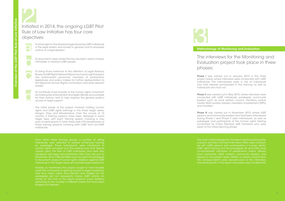To shine light on the disadvantages faced by LGBT individuals in the legal system and society in general, and to empower in the legal system and society in general, and to empower **the match of the supervistion of the controllogy of Monitoring and Evaluation**<br>victims of marginalization

### The interviews for the Monitoring and Evaluation project took place in three

### phases;

The initial phase of the project involved holding human rights and LGBT rights trainings in the three target areas: Yangon, Pyay and Mawlamyine. Over the course of 15 months, 4 training sessions have been delivered in each target area, with each training session involving a new pool of participants. In total, there were 270 beneficiaries of these training sessions, involving both LGBT and non-LGBT individuals.

**Phase I** was carried out in January 2015 in the three project areas, where interviews were conducted with LGBT individuals. The Interviewees were a mix of individuals who had already participated in the training, as well as

From within these training groups, a number of willing individuals were selected to receive enhanced training as paralegals. These participants were introduced to human rights concepts and the existing laws that directly impact upon the lives of LGBT individuals, and were also equipped with legal documentation skills. From January to December 2015, CRB identified and recruited 23 paralegals to document cases of human rights violations against LGBT individuals in the target areas and provide legal assistance.

Indeed, as mentioned, this project sought to more broadly assist the community in gaining access to legal assistance, and thus many cases documented and lodged by the paralegals did not necessarily involve LGBT victims. An annex at the end of the report presents some statistics pertaining to the number of different cases that have been lodged and referred.



**Phase II** was carried out in May 2015, where interviews were conducted with LGBT individuals, paralegals, community leaders such as local section council members, police, media, NGO workers, lawyers, members of parliament (MPs)

**Phase III** was carried out in November 2015, where LGBT persons and community leaders who had been interviewed during Phase I and Phase II were interviewed, as well as paralegals and participants of the human rights training conducted by Colors Rainbow staff members, who were apart of the initial planning phase.

individuals who had not.

### Initiated in 2014, the ongoing LGBT Pilot Initiated in 2014, the ongoing LGBT Pilot<br>
Rule of Law Initiative has four core<br>
objectives:<br>
To shine light on the disadvantages faced by LGBT individuals<br>
in the legal system and society in general, and to empower<br>
victi Rule of Law Initiative has four core objectives:



The main methodologies for the report are Focus-Group Dis cussions and Key Informant Interviews. FGDs were conduct ed with LGBT persons who participated in human rights/ LGBT rights training and the paralegals. KII and FGDs were conductedwith members of parliaments, police officers, local authorities, NGO workers, community leaders, and lawyers in the project areas. Written or verbal consent from the correspondents were secured prior to the interviews, and participants in this report have been kept confidential.

To document cases where the law has been used to harass, intimidate or imprison LGBT people

To bring those instances to the attention of Legal Advisory Board of LGBT Rights Network Myanmar, human rights lawyers, law enforcement personnel, members of parliaments, legislatures and policy makers for further representation to the Myanmar Human Rights Commission and other relevant bodies

acc o

To contribute more broadly to the human rights movement by holding law enforcement and legal officials accountable for their actions, and to help improve the general public's access to legal support

and ministers.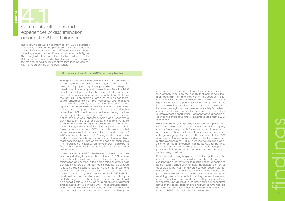The following discussion is informed by FGDs conducted in the initial phase of the project with LGBT individuals, as well as FGDs and KIIs with non-LGBT community members – including lawyers, police officers and other notable figures. The marginalization and discrimination suffered by the LGBT community is contextualized through observation and testimonies, as well as perspectives from leading commu nity members outside of the LGBT sphere.

### Initial conversations with non-LGBT community leaders

Throughout the initial conversations with the community leaders, government officials and legal professionals in volved in this project, a significant proportion of participants toned down the severity of discrimination suffered by LGBT people, or outright denied that such discrimination ex ists. Furthermore, some individuals openly stated that they thought LGBT individuals brought such hatred upon them selves. Unsurprisingly, sensitive mentalities and practices concerning the diversity of sexual orientation, gender iden tity and gender expression were more or less non-existent. Indeed, for many participants, the array of identities within the LGBT spectrum was not even recognized as being respectable. Once again, when issues of discrimi nation or abuse were discussed, there was a tendency to deny that such instances took place, or to blame the victim of such abuses as having invited such abuse upon them selves through disrespectful or inappropriate behaviour. More generally speaking, LGBT individuals were connoted with carrying sexually transmitted diseases, particularly HIV/ AIDS, and were also accused of being reckless, shameless and libidinous – which carries particular offence in Myan mar's conservative culture, where the open discussion of sex is still considered a taboo. Furthermore, LGBT participants frequently reported that they are the first to be accused of petty crimes.

Indeed, some non-LGBT interviewees indicated that they were overall willing to accept the existence of LGBT persons in society, but that when it comes to leadership, public ad ministration and service in the police force or army, it was consistently reiterated that gay men should not be allowed to take up such positions, due to the fact that these roles should be taken up by people who can be "future leaders". Overall, there was a general impression that LGBT individu als should not be in leading roles in society, and that, particularly for gay men, the only professional pursuit should bein specific fields such as make-up artistry, entertainment and as Natkadaw (spirit mediums). These attitudes largely stem from traditional beliefs whereby men are considered to be more noble than women in Myanmar society.Through a

### Community and Community attitudes and experiences of discrimination amongst LGBT participants

# e de la construcción de la construcción de la construcción de la construcción de la construcción de la construcción de la construcción de la construcción de la construcción de la construcción de la construcción de la const findings

perception that they have betrayed their gender or sex, and thus actively renounce the nobility that comes with their manhood, gay men and transwomen are seen as inferior and unfit for taking up prominent roles within society. This highlights a lack of opportunities for the LGBT persons to be in decision-making positions and leadership roles in order to increase their legitimacy as members of society. Some lead ers directed blame towards the education system or lack of employment opportunities – demonstrating a degree of cognizance of the structural disadvantages facing the LGBT community.

Professionally, lawyers typically expressed the opinion that all human beings are entitled to legal protection equally and the State is responsible for improving legal systemsand mechanisms – however, they did not elaborate on how re ceiving fair legal protection could be extended to the LGBT community. One interviewee indicated that initiatives pro moting awareness of LGBT issues to individuals and organi zational act as an important starting point, and that they believed there would generally be good will to accept and promote LGBT issues within the legal community should such training continue.

Police forces in Hlaingtharya demonstrated significant resist ance to being open to be sensitive towards LGBT issues, and securing avenues for victims to pursue justice appeared to be particularly difficult. Furthermore, the general consensus appeared to be that the law enforcement agents did not need to be held accountable for their actions. Indeed, one police official expressed that police were cooperative when receiving cases of abuse, but that they ignored those who came forward with cases of ill-treatment by the police force themselves. Overall, positive communication mechanisms between the police departments and LGBT communities do not exist, and thus reinforces the antagonistic relationship between LGBT individuals and the police force.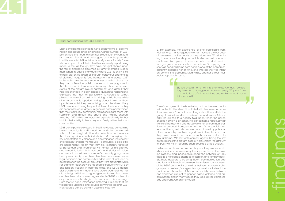Most participants reported to have been victims of discrimi nation and abuse since childhood. A great number of LGBT persons feel the need to hide their sexual identity from fam ily members, friends, and colleagues due to the pervasive hostility towards LGBT individuals in Myanmar Society. Those who are open about their identities frequently report being made to feel as though they have brought shame upon the family, and being disowned by family members is com mon. When in public, individuals whose LGBT identity is ex ternally presented (such as through behaviour and choice of clothing) frequently face harassment and abuse. LGBT individuals shared various experiences of verbal abuse that they had suffered in public spaces, such as pagodas, in the streets, and in teashops, while many others contributed stories of the blatant sexual harassment and assault they had experienced in open spaces. Numerous respondents expressed that they felt particularly vulnerable to verbal, physical or sexual assault whilst riding public buses, while other respondents reported having stones thrown at them by children whilst they are walking down the street. Many LGBT also report being frequent victims of robbery, as they are seen to be easy targets. In general, participants voiced that they feel fellow community members regard them with suspicion and disgust. The abuse and hostility encoun tered by LGBT individuals across all aspects of daily life thus inhibits their ability to live safely and freely within their own communities.

> Lesbians and transmen (or tomboys as they are known in Myanmar) were considerably less represented in the train ing sessions, and indeed, throughout the networks of CRB, there is a noticeable shortage of lesbian and tomboy activ ists. There appears to be a significant communication gap and lack of interaction between the different components of the LGBT community, as well as between women's rights groups and lesbian/transgender organizations. Indeed, the patriarchal character of Myanmar society sees lesbians and transmen subject to gender based violence and dis crimination, and in many cases, they face similar stigmas to gay and transwoman individuals.

Sir, you should not let off this shameless A-chauk (deroga tory term for a transgender woman) easily. Why don't we ask her to take off all her clothes and make her walk home totally naked? ,<br>,<br>,

The officer agreed to the humiliating act, and ordered her to strip naked in the street. Unsatisfied with her slow and cau tious removal of her shirt and longyi (traditional skirt) the gang of police forced her to take off her underwear. Asham edly, the girl fled to a nearby field, upon which the police chased her with a slingshot. The girl fled home naked. Similar stories of harassment and abuse were not uncommon, particularly amongst transgender women. Other participants reported being verbally harassed and abused by police at places of worship, such as pagodas or in temples, and that they have been forced to leave such places and told to stay at home. With law enforcement agents being the key perpetrators of this blatant case of harassment, the difficulty Sir, you should not let off this shameless<br>
fory term for a transgender woman) eask her to take off all her clothes and me<br>
totally naked?<br>
The officer agreed to the humiliating act, and ordered her t<br>
strip naked in the s

### Initial conversations with LGBT persons

11 and the contract of the contract of the contract of the contract of the contract of the contract of the contract of the contract of the contract of the contract of the contract of the contract of the contract of the con findings

LGBT participants expressed limited knowledge concerning basic human rights, and instead demonstrated an internali zation of the marginalization, discrimination and violence that they experience in their daily lives. Most worryingly, the key perpetrators of violence and discrimination include law enforcement officials themselves – particularly police offic ers. Respondents report that they are frequently targeted by policemen and threatened with arrest (or are arrested and forced to bribe their way out), and stories of violent and verbal assault are common.Community gang mem bers, peers, family members, teachers, employers, some legal personals and community leaders were all included as perpetrators in the cases of abuse that were brought forward. For example, teachers were reported to frequently insult gay and lesbian students in front the class, and would admin ister punishment for students who would wear clothes that did not align with their assigned gender. Bullying from peers and teachers alike causes a great deal of LGBT students to drop out of school early, given them a severe disadvantage. From the first-hand information gathered, it is clear that the widespread violence and abuses committed against LGBT individuals is carried out with absolute impunity.

Ei. For example, the experience of one participant from Hlaingtharya – a transgender woman –reveals a clear case of harassment at the hands of the police force. Whilst walk ing home from the shop at which she worked, she was confronted by a group of policemen who asked where she was going and where she had come from. On replying that she was heading home from her job, one of the policemen blatantly accused her of lying, and implied she was intent on committing obscenity. Meanwhile, another officer interjected, reportedly saying: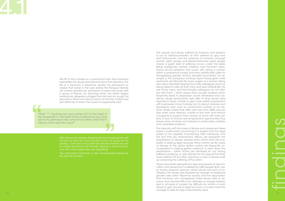The assault and abuse suffered by tomboys and lesbians is not as well-documented as that suffered by gay men and transwomen, and the absence of cohesion amongst women rights groups and lesbian/transmen rights groups means a great deal of suffering occurs under the radar. Being biologically women, lesbians and transmen expe rience all the problems that come with being a woman within a patriarchal society, and then additionally, suffer for transgressing gender and/or sexuality boundaries. For ex ample, in the workplace, tomboys report being given male workloads, yet still paid the lower wages of a woman. Many also report relentless teasing from male colleagues (such as being asked to take off their shirts and play football like the rest of the men), and that female colleagues do not interact with them – which leaves them socially isolated, which frequently leads to depression, social withdrawal and sub stance abuse (particularly high rates of drug abuse were reported in Pyay). Unable to gain more stable employment with businesses, many tomboys turn to labour intensive and low-paying work, such as construction workers or as rick shaw drivers where they often earn less than 2000 kyat per day, while many lesbians, unable to find work and without a husband to support them, remain at home with their parents. A lack of income and employment opportunities thus leaves many tomboys and lesbians in particularly unstable and vulnerable positions.

<sup>13</sup> <sup>14</sup> " " The impunity with the cases of abuse and harassment takes place is particularly concerning. It is evident that the legal system is not capable of protecting LGBT individuals, and the fact that law enforcement officers are frequently the perpetrators of abuses severely limits victims from the pos sibility of seeking legal recourse. When victims do file cases of abuses at the police station, police are frequently un cooperative in helping gather evidence or track down the perpetrators – rather victims are dismissed for not having sufficient evidence, or else blamed for the assault that they have suffered. All too often, reporting a case of abuse ends up worsening the suffering of the victim.

"What \*\*\*\*ing thing can your mother do? I'm the head of this household I'm the head of this household so you must ask for my permission! Also, what kind of attire is this? Didn't I tell you not to wear like a guy?"

> These anecdotes exemplify the type and severity of discrimi nation and abuse that is suffered by LGBT people. Both cas es involve physical violence, verbal abuse and acts of hu miliation. The stories also illustrate the strength of traditional gender roles within Myanmar society, and the assumption that someone who transgresses these binary roles is ob scene and immoral. With such attitudes so strongly embed ded in all levels of society, the difficulty for victims of such abuse to gain access to legal recourse, or to even have the courage to seek for help is abundantly clear.

Ma KP: A story shared by a participant from Pyay Township exemplifies the abuse and discrimination that prevails in the life of a transman in Myanmar society. The participant re vealed that earlier in the year, before the Thingyan festival, her mother granted her permission to leave the house with a group of friends. On returning home, her father began beating her, allegedly outraged that she had not sought his permission. When she tried to point out that her mother had permitted her to leave the house he supposedly said:

After taking her outside, stripping her and whipping her with adding: "Look down at yourself and decide whether you are an A-pyar (someone with female organs) or A-lone (some one with male organ)! You are disgusting!"

The respondent informed us she contemplated taking her life over the incident.

## 4,1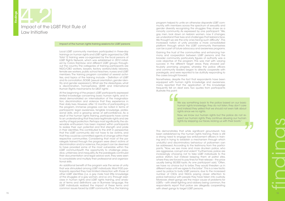We say something back to the police based on our basic human rights knowledge, they do not listen, they don't care and instead they yelled that we should not even talk about rights since we no rights.

Local LGBT community members participated in three-day trainings on human rights and LGBT rights organized by CRB. Total 12 training were co-organized by the focal persons of LGBT Rights Network, which was established in 2012 initiat ed by Colors Rainbow and different LGBT groups through out the country. The categories of training participants are NGO/CBO workers, lawyers, factory workers/daily laborers, female sex workers, public school teachers, nurses and LGBT members. The training program consisted of several activi ties, and topics of the training include – Definition of LGBT and its connotation, SOGIE (sexual orientation, gender iden tity and gender expression), What are the stereotypes, what is discrimination, homophobia, UDHR and International Human Rights mechanisms for LBGT rights'.

> Now, we know our human rights but the police do not re spect our human rights. They continue abusing our human rights by slapping our faces, kicking us with their boots."

If you decomple once and the control of the main term in the control of the control of the control of the control of the control of the control of the control of the control of the control of the control of the control of At the beginning of the project, LGBT participants expressed limited knowledge concerning basic human rights, and in stead demonstrated an internalization of the marginaliza tion, discrimination and violence that they experience in their daily lives. However, after 12 months of participating in the program, immense progress can be noted in terms of participants' legal awareness, tangible knowledge, profes sional skills, and a growing sense of self-confidence. As a result of the human rights training, participants have come to an understanding that they bear legitimate rights and are worthy of legal protection. Perhaps most significantly, the ob servable enthusiasm has been inspired within participants to realize their own potential and find strength and pride in their identities. This contributed to the shift in perspective that the LGBT community did not have to be victims, and that they could be committed agents of change within their respective communities. Considering that most of the pa ralegals trained through the program were direct victims of discrimination and/or violence, the project can be deemed to have provided some of the most vulnerable within the LGBT communitywith the opportunity to challenge preju dice, unfairness and inequality. As the paralegals continued their documentation and legal advice work, they were seen to consolidate and multiply their professional and organiza tional skills.

An additional benefit of the program was the sense of unity that was stimulated among LGBT individuals. Most FGD participants reported they had limited interaction with those of other LGBT identities (i.e. a gay male had little knowledge of the struggles of a gay woman, and so on). Through exercises in human rights and LGBT rights training, and analysis of terms and definitions use in Burmese language, the LGBT individuals realized the impact of these terms and common issues faced by LGBT community. Thus, the training



### Impact of the human rights training sessions for LGBT persons

program helped to unite an otherwise disparate LGBT com munity, with members across the spectrum of sexuality and gender diversity recognizing the struggles they share as a minority community. As expressed by one participant: "We, gay men, look down on lesbian women, now it changes; we understand their lives and challenges that lesbians face. We thought we are the only ones facing such difficulty". This increased notion of unity provides a more consolidated platform through which the LGBT community themselves can be a part of future advocacy and awareness programs.

Gaining the trust of the communities and enhancing harmony and cooperation between LGBT persons and the broader community, particularly figures of authority was a core objective of the program. This was met with varying success in the different target areas. Pyay showed particularly promising progress, whereby the police officers and community leaders began to directly cooperate with paralegals, and were reported to be dutifully responding to the cases brought forward.

Nonetheless, despite the fact that respondents have been equipped with human rights knowledge and awareness, many reported that the application of this knowledge frequently fell on deaf ears. Two quotes from participants illustrate this point:

This demonstrates that while significant groundwork has been established by the human rights training, there is still a strong need to engage law enforcement officers in train ing and in trying to establish a mechanism through which undutiful and discriminatory behaviour of policemen can be addressed. According to the testimony from the partici pants, "Now, we see more and more drunken police, who are aggressive, corrupt and violent." Furthermore, police are increasingly choosing not to take LGBT individuals to the police station, but instead keeping them at patrol sites, where they are forced to pay fines for their release – the price usually being 50,000 kyats. As one participant said, "Often, we have no choice but to bribe. They would threaten us in different ways until we agree to the bribe". This is a new tactic used by police to bully LGBT persons, due to the increased number of CSOs and NGOs paying closer attention to police behaviour with people they have taken into custody. Moreover, street gangs are the major cause of problems for LGBTs – with street fighting and robbery being common, the respondents report that police are allegedly cooperating with street gangs to target LGBT persons.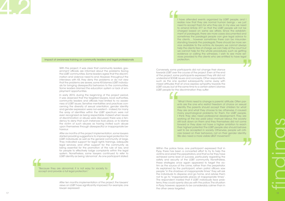With this project, it was clear that community leaders, gov ernment officials are informed about the problems facing the LGBT communities. Some leaders agree that the discrim ination and violence need to end. However, throughout the interviews with KII, they deny the problems or do not view that the problems are severe, some KII blames LGBT individu als for bringing disrespectful behaviors to the communities. Some leaders blamed the education system or lack of em ployment opportunities.

In early 2015, during the beginning of the project period, it was observed that the targeted lawyers, local authorities, community leaders and officials had limited to no aware ness of LGBT issues. Sensitive mentalities and practices con cerning the diversity of sexual orientation, gender identity and gender expression were non-existent – indeed, for many the array of identities within the LGBT spectrum were not even recognized as being respectable. Indeed when issues of discrimination or abuse were discussed, there was a ten dency to deny that such instances took place, or to blame the victim of such abuses as having invited such abuse upon themselves through disrespectful or inappropriate be haviour.

"Because they are abnormal, it is not easy for society to accept and provide a full legal protection." "Beach

After ten months implementation of the project, the lawyers' views on LGBT have significantly improved. For example, one lawyer expressed: project,<br>ed. For ex

<sup>17</sup> <sup>18</sup> "" "" I have attended events organized by LGBT people, and I realize now that they are normal human beings – we just need to accept them for who they are. In my view, we need to amend Article 377 so that the LGBT people will not be charged based on same sex affairs. Since the establish ment of paralegals, there are more cases documented and sometimes the paralegal people can give legal advice to the clients… however sometimes there can be misunderstanding towards the paralegals. There should be more service available to the victims. As lawyers, we cannot always help the clients free of charge, we can help at the court but we cannot help for the whole procedures, such as getting evidence or calling the witnesses. I wish to see more services provided to the clients who are entitled to have legal protection.

After six months of the project implementation, some lawyers started providing suggestions to improve legal protection for LGBT individuals as well as the general community at large. They indicated support for legal rights trainings, adequate legal services, and other support for the community as being essential for the promotion of the rule of law, and for people to effectively lodge complaints within the legal system. Nonetheless, some lawyers continued to refer to LGBT identity as being 'abnormal'. As one participant stated:

"What I think need to change is parents' attitude. Often parents are the one who restrict freedom of choice on sexual identity. The parents should accept their children for what they are and what they choose to be, otherwise, it caused many psychological problems for them. For LGBT people, I think they also need professional development. They are working at the low paid jobs/ manual labour, the society still look down on them and they themselves did not come forward or they dare not have a higher ambition to reach their highest potential. The LGBT people also should behave well to be accepted in society. Otherwise, people will criti cize based on their behaviors, not on their gender identity. We also need a more visible LBGT movement."

Impact of awareness training on community leaders and legal professionals

Conversely, some participants did not change their stance towards LGBT over the course of the project. Even at the end of the project, some participants expressed they still did not understand SOGIE issues and concepts. Other respondents, such as the one quoted subsequently, came away with mixed attitudes that at once express sympathy towards the LGBT cause, but at the same time to a certain extent, blames LGBT people for the discrimination they suffer:

Within the police force, one participant expressed that in Pyay, there has been a concerted effort to try to help the victims and arrest the perpetrators, and that so far they have achieved some level of success, particularly regarding the safety and security of the LGBT community. Nonetheless, these strategies once again appeared to target the vic tim as the source of the crime, rather than the perpetrator. As explained by the participant, when patrol officers saw people "in the shadows at inappropriate times" they will ask the individuals to disperse and go home, and advise them not to go to "inappropriate places at inappropriate times". The respondent insisted that if LGBT individuals face prob lems, they could openly discuss with the police. The situation in Pyay, however, appears to be considerably calmer than in the other areas targeted.

## 4,2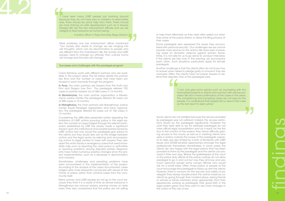### Successes and challenges with the paralegal program

More positively, one law enforcement officer mentioned "Our society also needs to change, we are clinging into old thoughts, which can be discriminatory to people who are different from the mainstream. We, the society and LGBT people, need to change our attitude, then cultural norms will change and the laws will change".

"I have seen many LGBT people just roaming around because they do not have jobs or ambition to lead better lives, there should be some help from them. There should be more training on skills development such as in beauty therapy. We are the law enforcement officials and we are obliged to treat everyone as human being.

A police officer in Pyay Township, Bago Division

In Pyay, the main partners are lawyers from The Truth Law Firm and Dragon Law Firm. The paralegals referred 192 cases to partner lawyers out of 360 cases in 12 months.

**In Mawlamyine,** the main partner organization is Mawlamyine Justice Center. The paralegals referred 39 cases out of 298 cases in 12 months.

In Hlaingtharya, the main partners are Hlaingtharya Justice Center, Equal Paralegal organization and Lotus organiza tion. The paralegals referred 53 cases out of 166 cases in 12 months.

Colors Rainbow works with different partners who are avail able in the project areas. The list below details the partner law firms and the number of cases that have been put forward in each township through the program:

Considering the difficulties presented earlier regarding the limitations of LGBT victims pursuing justice in the legal sys tem, the number of cases lodged through the referral mech anism established by CRB has clearly made a significant impact upon the institutional and societal barriers faced by LGBT victims. Not only would the paralegals give advice to the clients, but they would also act as the bridge between victims and the legal sector, by referring and accompanying victims to legal centers to meet with lawyers. They also assist the victim family in emergency cases that need imme diate help such as reporting the case police or authorities or resolving problems among disputed parties. Respond ents have noted numerous positive changes since the pro ject implementation, such as a decrease in discrimination and mockery.

Nonetheless, challenges and persisting problems have been encountered in the implementation of the project. According to the analysis of the cases documented, cases lodged were more frequently concerned with abuse at the hands of police, rather than criminal cases from the com munity itself.

Many women and LGBT people do not go to the court be cause they think it is a waste of time as almost everyone in Hlaingtharya are manual workers earning money on daily basis. They also complained that the police are not willing

 $\begin{bmatrix} \frac{1}{2} & \frac{1}{2} & \frac{1}{2} & \frac{1}{2} & \frac{1}{2} & \frac{1}{2} & \frac{1}{2} & \frac{1}{2} & \frac{1}{2} & \frac{1}{2} & \frac{1}{2} & \frac{1}{2} & \frac{1}{2} & \frac{1}{2} & \frac{1}{2} & \frac{1}{2} & \frac{1}{2} & \frac{1}{2} & \frac{1}{2} & \frac{1}{2} & \frac{1}{2} & \frac{1}{2} & \frac{1}{2} & \frac{1}{2} & \frac{1}{2} & \frac{1}{2} & \frac{1}{2$ Some clients are not satisfied because the service provided by paralegals was not sufficient. Indeed, the access restric tions faced by the paralegals significantly hindered the work they were able to do. For example paralegals do not have official legal accreditation and as a result, for the first four to five months of the project they faced difficulty gain ing access to the courts, as well as in meeting clients who were in police custody. The scope of the paralegals capac ity to help was also limited by a lack of familiarity with LGBT issues and SOGIE-sensitive approaches amongst the legal professionals themselves. Nonetheless, in some cases, the clients are very happy with the legal advice that has been provided to them by the paralegals and the clients can pro ceed in their own way. Before, the gatekeepers at the court or the police duty official at the police custody do not allow paralegal to go in and out but now they all know and very much welcome except some corrupt officials who would ask for a small bribe. Often, those police or people at the court encourage the paralegals to follow up with the clients. However, there is concern for the security and safety of pa ralegals. They always double-check the claims made by our clients by going through their incident place, asking friends or witness or family members when appropriate. From their experiences working as paralegals, their good faith in the legal system grows and they want to see more changes in the notion of the rule of law.

to help them effectively as they were often yelled out when they arrive at the police station or delay the filing process of their cases.

Some paralegals also expressed the issues they encoun tered with personal security: "Our challenges are we cannot provide more services to the victims. We have seen increas ing cases on domestic violence against women. Some times, it is not safe for us to go alone to conduct interviews. If the clients are free only in the evening, we accompany each other." Such situations particularly apply for female paralegals.

Another challenge is that the clients often do not know how to answer when asked to pledge guilty or innocent; they are confused. Often, the clients have not proper lawyers to de fend their disputes. One of the paralegals said;

> "I can only give some advice such as counseling with the traumatized parents or clients and connect with service pro viders. We don't have confirmatory of the cases in the areas. The complaining and compiling cases are not easy for the people, it is understood that people tell us about their case as the last resort to seek justice."

4,2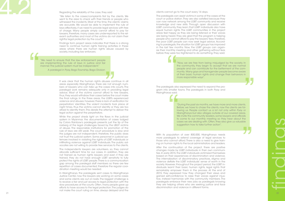more paralegals to extend coverage of legal services to those who cannot afford. There is also a need to give train ing on human rights to the local administrators and leaders.

22  $\frac{1}{2}$   $\frac{1}{2}$   $\frac{1}{2}$   $\frac{1}{2}$   $\frac{1}{2}$   $\frac{1}{2}$   $\frac{1}{2}$   $\frac{1}{2}$   $\frac{1}{2}$   $\frac{1}{2}$   $\frac{1}{2}$   $\frac{1}{2}$   $\frac{1}{2}$   $\frac{1}{2}$   $\frac{1}{2}$   $\frac{1}{2}$   $\frac{1}{2}$   $\frac{1}{2}$   $\frac{1}{2}$   $\frac{1}{2}$   $\frac{1}{2}$   $\frac{1}{2}$ After the continuation of the project, there are positive changes made by LGBT individuals in their own communi ties. In early 2015, the LGBT individuals victimized themselves based on their experiences of discrimination and violence. The internalization of discriminatory practices, stigma and violence deflate the LGBT individuals' sense of worth in the society. However, throughout the project period, the LGBT in dividuals learnt their basic human rights, legal rights that remarkably empower them in the process. At the end of 2015, they expressed how they changed their views and gained self-confidence to raise their voices against injus tice, instead harmonize with the community members. The paralegals embrace their new jobs as paralegals knowing they are helping others who are seeking justice and face discrimination and violence in different forms.

clients cannot go to the court every 14 days.

The paralegals can assist victims in some of the cases at the court or police station. They are also satisfied because they can now network among the LGBT community and receive knowledge and new skills. Through open discussion with LGBT community, they learn that LGBT individuals also have equal human rights. The LGBT communities in the project areas feel happy as they are being listened or their voices are being heard. They are glad that the program is helping people who cannot afford to pay the lawyers' fees; therefore, the poor LGBT people can now seek legal advice. Accord ing to paralegals, the situation for LGBT groups has improved in the last few months. Now, the LGBT groups can organ ize their monthly meeting and other gathering without fear, before they were too frightened to do something. They said;

**The Second Second**<br> **Second Second Second Second**<br> **Second Second Second**<br> **Second Second Second**<br> **Second Second Second** It was clear that the human rights abuses continue in all areas especially Hlaingtharya, there are not enough num bers of lawyers who can take up the cases into courts. The paralegal work remains adequate only in providing legal advice. Most of the victims cannot afford to hire lawyers, thus, they would withdraw their cases before the court make the final rulings. In the three areas, the LGBTs experienced violence and abuses; however, there is lack of verification for perpetrators' identities. The violent incidents took place at night times, thus the victims cannot identify or they are too afraid to identify them. This derails the attempt to deliver the legal action against the perpetrators.

Regarding the reliability of the case, they said

"We listen to the cases/complaints first by the clients. We went to the area to check with their friends or people who witnessed the incidents. Most of the time, the clients' claims are accurate. We would be able to implement the rule of laws effectively, if we need to provide legal services with free of charge. Many people simply cannot afford to pay for lawyers, therefore, many cases are under-reported to the rel evant authorities and most of the victims do not claim their rightful legal protection by the courts."

Findings form project areas indicates that there is a strong need to continue human rights training activities in these areas where there are human rights abuse caused by society, including law enforcers.

" "We need to ensure that the law enforcement people are implementing the rule of laws in justice and fair manner. The judicial system must be independent."

A paralegal in Pyay, Bago Township, Bago Division

While the project sheds light on the flaws in the judicial system in Myanmar, the documentation of cases lodged by Colors Rainbow's paralegals presents just the tip of the iceberg of the legal challenges faced by the LBGT victims of abuse. The responsible institutions for promotion of the rule of laws are still weak. The court procedure is slow and the judges are not independent, therefore, the public does not trust the judicial system. Some personnel in judicial sys temare involved in violating the rights of LGBT individuals or infiltrating violence against LGBT individuals. The public ad vocates are not willing to provide free services to the clients.

The independents lawyers are volunteers, so, they cannot allocate sufficient time for our cases. In addition, they are not trained as human rights lawyers and even if they are trained, they do not have enough LGBT sensitivity to fully protect the rights of LGBT people. There is a communication gap among the paralegal staff members so there are few repetition of cases documented, therefore the regular coordination meeting would be needed.

In Hlaingtharya, the paralegals sent cases to Hlaingtharya Justice Center, now the lawyers are working on some cases and some clients are out on bails. The biggest challenge is to receive a fair and just access to legal protection with the slow procedures at the courts. Often, many people gave up efforts to have access to the legal protection. The judges do not make the court ruling on time, always delayed and the

"Now, we are free from being misjudged by the society. In the community, they begin to accept that we are normal people and can contribute for the betterment of the com munity. Many gays and transgender people become aware of their basic human rights and change their behaviors in more responsible ways".

The paralegals also expressed the need to expand the pro gram into smaller towns. The paralegals in both Pyay and Hlaingtharya said;

> "During the past six months, we have more and more clients. Before, we have to chase the clients, now the clients are fol lowing us. People contact us a lot not only within Pyay or Hlaingtharya but also villages outside of our covered areas. We invite the community leaders, some lawyers and officials to come to our monthly meeting so they hear about the cases we are dealing with. Often, they also give us valuable suggestion how to take further action".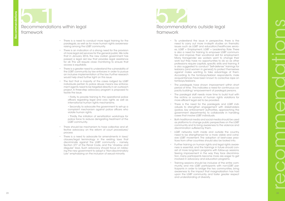- 23  $\times$  24  $\times$  24  $\times$  24  $\times$  24  $\times$  24  $\times$  24  $\times$  24  $\times$  24  $\times$  24  $\times$  24  $\times$  24  $\times$  24  $\times$  24  $\times$  24  $\times$  24  $\times$  24  $\times$  24  $\times$  24  $\times$  24  $\times$  24  $\times$  24  $\times$  24  $\times$  24  $\times$  24  $\times$  24  $\times$  24  $\times$  24  $\t$ need to carry out more in-depth studies on thematic issues such as LGBT and education/healthcare servic es, LGBT + Employment, LGBT + Leadership Role. There is also a need for training to empower LGBT communi ties and improve their vocational skill for employment. Many transgender sex workers want to change their work but they have no opportunities to do so as other professions require capitals, specific skills and training. It is also suggested to conduct "Self-defense" trainings for lesbians (and women in general) to protect themselves against males wanting to take advantage of them. According to the tomboys/lesbian respondents, male acquaintances have been known to corrective rape on tomboys/lesbians.
	- The paralegals have shown improvement within short period of time. This indicates a need for continuous ca pacity building/ empowerment of paralegal persons.
	- The paralegal staff needs more time to build trust with the victims or survivors of human rights violations for more efficient legal aid to be provided.
	- There is the need for the paralegals and LGBT indi viduals to strengthen engagement with stakeholders (police, law enforcement authorities, approaching the government departments) to collaborate in handling cases that involve LGBT individuals.
	- Both traditional media and social media should be used as platforms to change public perspectives on the LGBT community and to bring awareness to the violence and discrimination suffered by them.
	- LGBT networks, both inside and outside the country, need to be strengthened for a more visible and cohe sive LGBT movement. The adoption of best-case prac tices from other countries should also be looked into.
	- Further training on human rights and legal rights aware ness is essential, and the trainings in future should con sist of more long-term programs with follow-up sessions. Seeing improvement in the way they face discrimination, many participants become more are eager to get involved in advocacy and education programs.
	- Training sessions should be inclusive of the entire com munity, and mix LGBT participants with non-LGBT participants in order to bridge the two communities, bring awareness to the impact that marginalization has had upon the LGBT community, and foster greater respect and understanding of diversity.

### Recommendations within legal framework

### Recommendations within legal Recommendations within legal Recommendations within legal Recommendations of the strangular resolutions of the strangular resolutions of the strangular resolutions of the strangular resolutions Recommendations outside legal framework

- There is a need to conduct more legal training for the paralegals, as well as for more human rights awarenessraising among the LGBT community.
- There is an indication of a strong need for the provision of more legal aid services for the general public. We note that in January 2016, the new civilian government has passed a legal aid law that provides legal assistance for all. This will require close monitoring to ensure that access is equitable.
- There is a greater need to understand the vulnerability of the LGBT community by law enforcers in order to pursue an inclusive implementation of the law. Further research would help shed further light on this issue.
- The fact that a majority of the cases lodged by LGBT individuals pertain to police abuse means law enforce ment agents need to be targeted directly in an outreach project. A three-step advocacy program is proposed to tackle the issue.
	- Firstly, to provide training to the operational police officers regarding legal and civic rights as well as international human rights mechanisms.
	- Secondly, to advocate the government to set-up a complaint mechanism against police officers who violate human rights.
	- Thirdly, the initiation of sensitization workshops for police force to reduce denigrating treatment of the LGBT community.
- There should be mechanism to have collective and ef fective advocacy on the reform of court procedures/ process
- There is a need to advocate for amendments in laws/ clauses/legal terminology in the existing laws that discriminate against the LGBT community – namely, Section 377 of the Penal Code, and the "shadow and disguise" laws. Such advocacy should focus on lobby ing the new government to adopt a "Non-discriminatory Law" emphasizing on the inclusion of sexual minority.

# recommendations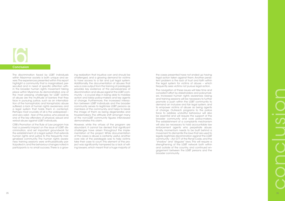The discrimination faced by LGBT individuals within Myanmar society is both unique and severe. The experiences presented within this report highlight a community that is marginalized, persecuted and in need of specific attention within the broader human rights movement taking place within Myanmar. As demonstrated, one of the most pressing challenges for LGBT victims of abuse are the multitude of barriers that they face in pursuing justice, such as an internalization of the homophobic and transphobic abuse suffered, a lack of human rights awareness, and a legal system that holds them in contempt. Perhaps most crucially of all is the widespread – and very valid – fear of the police, who prevail as one of the key offenders of physical, sexual and verbal abuse against LGBT individuals.

25 26 conclusion

CRB's Promotion of the Rule of Law program has had a powerful impact on the issue of LGBT discrimination, and set important groundwork for the establishment of a legal system that extends human rights and justice to this frequently marginalized community. The human rights awareness training sessions were enthusiastically participated in, and the behaviour changes noted in participants is no small success. There is a grow-

ing realization that injustice can and should be challenged, and a growing demand for victims to have access to a fair and just legal system. Additionally, the documentation of abuses that was a core output from the training of paralegals provides key evidence of the pervasiveness of discrimination and abuse against the LGBT community – a crucial step in being able to mobilize action and lobby policy-makers and key agents of change. Furthermore, the increased interaction between LGBT individuals and the broader community serves to legitimize LGBT persons as members of the community, and helps to break the image of them as being degenerates and troublemakers. The attitude shift amongst many of the non-LGBT community figures interviewed demonstrates this claim.

However, while the virtues of the program are abundant, it cannot be denied that significant challenges have arisen throughout the implementation of the project. While documentation of the cases is abuse is certainly useful, another core role of the paralegals was to help victims take their case to court. This element of the project was significantly hampered by a lack of willing lawyers, which meant that a huge majority of

the cases presented have not ended up having legal action taken against them. Another persistent problem is the lack of trust and faith within the legal system for victims of abuse – which frequently sees victims not pursue legal action.

The navigation of these issues will take time and consistent effort by stakeholders and policymakers. Increased human rights awareness raising and training sessions will be necessary to further promote a push within the LGBT community to demand an inclusive and fair legal system, and to empower victims of abuse as being agents of change. Outreach programs to the police force to address undutiful behaviour will also be essential and will require the support of the broader community and core policy-makers. The establishment of a complaints mechanism will also be necessary to hold accountable law enforcement agents who perpetrate abuse. Finally, momentum needs to be built behind a movement to dismantle the laws that are used to legally legitimize discrimination against the LGBT community – Act 377 of the Penal Code, and the "shadow" and "disguise" laws. This will require a strengthening of the LGBT network both within and outside of the country, and continued engagement between the LGBT persons and the broader community.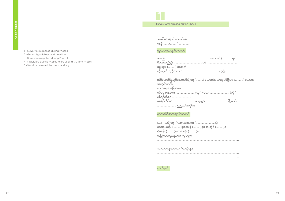- 1 Survey form applied during Phase I
- 2 General guidelines and questions
- 3 Survey form applied during Phase II
- 4 Structured questionnaires for FGDs and KIIs from Phase II
- 5 Statistics cases at the areas of study

Survey form applied during Phase I 1

| အခြေခံအချက်အလက်ပုံစံ |  |  |  |  |  |  |
|----------------------|--|--|--|--|--|--|
| <u>နေ့စွဲ //</u>     |  |  |  |  |  |  |

### ကိုယ်ရေးအချက်အလက်

| မွေးချင်း () ယောက်                                            |
|---------------------------------------------------------------|
|                                                               |
|                                                               |
| အိမ်ထောင်ရှိလျှင်သားသမီးဦးရေ () ယောက်၊မိသားစုဝင်ဦးရေ () ယောက် |
|                                                               |
|                                                               |
| ဝင်ငွေ (နေ့စား)  (သို့ ) လစား  (သို့ )                        |
| နှစ်စဉ်ဝင်ငွေ                                                 |
|                                                               |
| ပြည်နယ်/တိုင်း။                                               |

### ေဒသဆုိင္ရာအခ်က္အလက္



| LGBT လူဦးရေ (Approximate) ()ဦး           |
|------------------------------------------|
| - ဆေးပေးခန်း ()ခု၊ဆေးရုံ ()ခု၊ဆေးဆိုင် ( |
| ရဲစခန်း ()ခု၊တရားရုံး ()ခု               |
| တခြားဒေသန္တရအာဏာပိုင်များ                |
|                                          |

| ဘာသာရေးအဆောက်အအုံများ |
|-----------------------|
|-----------------------|

| ဘာသာရေးအဆောက်အအုံများ |
|-----------------------|
|                       |
|                       |

လက္မွတ္

……………………………………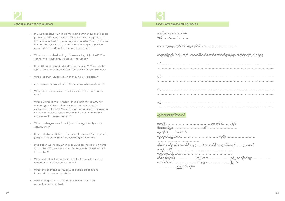- In your experience, what are the most common types of [legal] problems LGBT people face? [Within the area of expertise of the respondent: either geographically specific (Yangon, Central Burma, urban/rural, etc.) or within an ethnic group, political group, within the district-level court system, etc.]
- What is your understanding of the meaning of "justice?" Who defines this? What ensures "access" to justice?
- How LGBT people understand " discrimination"? What are the types/ patterns of discriminatory practices LGBT people face?
- Where do LGBT usually go when they have a problem?
- Are there some issues that LGBT do not usually report? Why?
- What role does law play at the family level? The community level?
- What cultural controls or norms that exist in the community encourage, reinforce, discourage, or prevent access to Justice for LGBT people? What cultural processes, if any, provide women remedies in lieu of access to the state or non-state dispute resolution mechanisms?
- What challenges were faced (could be legal, family, and/or community)?
- How and why did LGBT decide to use the formal (police, courts, judges) or informal (customary, village) legal system?
- If no action was taken, what accounted for the decision not to take action? Who or what was influential in the decision not to take action?
- What kinds of systems or structures do LGBT want to see as important to their access to justice?
- What kind of changes would LGBT people like to see to improve their access to justice?
- What changes would LGBT people like to see in their respective communities?

### General guidelines and questions and survey form applied during Phase II and Survey form applied during Phase II

| အခြေခံအချက်အလက်ပုံစံ                                                                                                                                                                                                                                                                                                                                                |
|---------------------------------------------------------------------------------------------------------------------------------------------------------------------------------------------------------------------------------------------------------------------------------------------------------------------------------------------------------------------|
|                                                                                                                                                                                                                                                                                                                                                                     |
| ဆွေးနွေးပွဲတွင်ပါဝင်ပြီးသည်. နောက်မိမိလုပ်ဆောင်သောလုပ်ရှားမူးများအနည်းကျည်းပြောပြရန်                                                                                                                                                                                                                                                                                |
|                                                                                                                                                                                                                                                                                                                                                                     |
| $\begin{picture}(20,10) \put(0,0){\vector(1,0){100}} \put(15,0){\vector(1,0){100}} \put(15,0){\vector(1,0){100}} \put(15,0){\vector(1,0){100}} \put(15,0){\vector(1,0){100}} \put(15,0){\vector(1,0){100}} \put(15,0){\vector(1,0){100}} \put(15,0){\vector(1,0){100}} \put(15,0){\vector(1,0){100}} \put(15,0){\vector(1,0){100}} \put(15,0){\vector(1,0){100}} \$ |
|                                                                                                                                                                                                                                                                                                                                                                     |
|                                                                                                                                                                                                                                                                                                                                                                     |
|                                                                                                                                                                                                                                                                                                                                                                     |
| ကိုယ်ရေးအချက်အလက်                                                                                                                                                                                                                                                                                                                                                   |
| မွေးချင်း () ယောက်                                                                                                                                                                                                                                                                                                                                                  |
| အိမ်ထောင်ရှိလျှင်သားသမီးဦးရေ () ယောက်၊မိသားစုဝင်ဦးရေ () ယောက်                                                                                                                                                                                                                                                                                                       |
| ဝင်ငွေ (နေ့စား)  (သို့ ) လစား  (သို့ ) နစ်စဉ်ဝင်ငွေ:<br>625565/0000                                                                                                                                                                                                                                                                                                 |

| မွေးချင်း () ယောက် |                                                               |  |  |
|--------------------|---------------------------------------------------------------|--|--|
|                    |                                                               |  |  |
|                    | အိမ်ထောင်ရှိလျှင်သားသမီးဦးရေ () ယောက်၊မိသားစုဝင်ဦးရေ () ယောက် |  |  |
|                    |                                                               |  |  |
|                    | ဝင်ငွေ (နေ့စား)  (သို့ ) လစား  (သို့ ) နစ်စဉ်ဝင်ငွေ:          |  |  |
|                    |                                                               |  |  |
| ပြည်နယ်/တိုင်း။    |                                                               |  |  |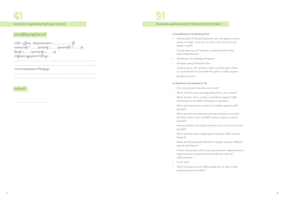ေဒသဆုိင္ရာအခ်က္အလက္

LGBT လူဦးေရ (Approximate) (……………………)ဦး ေဆးေပးခန္း (………)ခု၊ေဆးရုံ (………)ခု၊ေဆးဆုိင္ (………)ခု ရဲစခန္း (………)ခု၊တရားရုံး (………)ခု တျခားေဒသႏၱရအာဏာပုိင္မ်ား …………………………………………………………………………………………..

…………………………………………………………………………………………..

………………………………………………………………………………………….. …………………………………………………………………………………………..

ဘာသာရေးအဆောက်အအုံများ

……………………………………

လက်မတ်



### I) Guidelines for facilitating FGD

- Introduction of the participants with the game (name, place of origin, what do you like most? what do you dislike most?)
- Group exercise on "timeline of discrimination they have experienced".
- Feedback on Paralegal Program.
- Analysis using A Problem Tree
- Closing circle with positive notes towards each other or commitment to promote the rights of LGBT people.
- Feedback forms

### 2) Questions Guidelines for KII

- Can you please describe your work?
- What are the common legal disputes in your areas?
- What are the minor crimes committed against LGBT individuals or by LGBT individuals in general?
- What are the serious crimes committed against LGBT people?
- What are the mechanisms and procedures to handle sensitive cases such as LGBT cases or rape or sexual assault?
- How accessible the police stations and courts are for the people?
- What are the main challenges to handle LGBT cases if there is?
- What are the general attitudes of public against different sexual orientation?
- Is there any policy within your government, department or organizations to promote the leadership roles for LGBT people?
- If not, why?
- What changes would LGBT people like to see in their respective communities?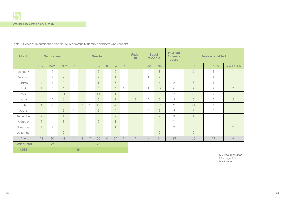D = Documentation LA = Legal Advice  $R =$  Referral

| <b>Month</b>       |                | No. of cases   |                |   |                |                | Gender         |                |                |                | <b>Under</b><br>18 | <b>Legal</b><br>response |                | <b>Physical</b><br>& mental<br>abuse |                | <b>Service provided</b> |                |
|--------------------|----------------|----------------|----------------|---|----------------|----------------|----------------|----------------|----------------|----------------|--------------------|--------------------------|----------------|--------------------------------------|----------------|-------------------------|----------------|
|                    | <b>HTY</b>     | <b>PYAY</b>    | <b>MLM</b>     | M | F              |                | G              | $\overline{B}$ | TW             | <b>TM</b>      |                    | Yes                      | <b>No</b>      |                                      | $\mathsf D$    | <b>D &amp; LA</b>       | D & LA & R     |
| January            |                | $\overline{4}$ | $\sqrt{4}$     |   |                |                | 6              |                | $\overline{2}$ |                | $\overline{1}$     |                          | 8              |                                      | 6              | J.                      |                |
| February           |                |                | $\overline{2}$ |   |                |                | $\overline{2}$ |                | $\overline{1}$ |                |                    |                          | $\overline{2}$ | $\overline{1}$                       |                | $\mathbb{I}$            |                |
| March              | $\overline{1}$ |                | $\overline{2}$ |   |                | $\overline{1}$ |                |                | $\mathcal{S}$  |                | $\overline{1}$     |                          | $\overline{4}$ | $\overline{2}$                       | 3              | $\mathbb{I}$            |                |
| April              | $\overline{2}$ | 5              | $\sigma$       |   | $\overline{1}$ |                | $\overline{4}$ |                | 6              | $\overline{2}$ |                    |                          | 12             | 6                                    | 9              | $\overline{2}$          | $\overline{2}$ |
| May                |                | $\overline{2}$ | 11             |   |                | $\overline{1}$ | 11             |                | $\overline{1}$ |                |                    |                          | 13             | $\overline{2}$                       | 10             | $\overline{2}$          |                |
| June               |                | 3              | 6              |   | $\overline{1}$ |                | 6 <sup>1</sup> |                | $\overline{2}$ |                | $\overline{2}$     |                          | 8              | $\mathfrak S$                        | 5              | $\overline{2}$          | $\overline{2}$ |
| July               | $\overline{4}$ | 3              | 13             |   | $\overline{2}$ | $\overline{2}$ | 12             |                | $\overline{4}$ |                | $\overline{1}$     |                          | 16             | $\overline{2}$                       | 14             | 6                       |                |
| August             |                |                | 8              |   |                |                | 3 <sup>1</sup> |                | $\overline{4}$ |                |                    |                          | 8              | 3                                    | $\overline{7}$ |                         |                |
| September          | $\overline{2}$ |                | $\overline{1}$ |   |                |                |                |                | $\overline{2}$ |                |                    |                          | $\overline{2}$ | 3                                    |                |                         |                |
| October            | $\overline{1}$ |                | 3              |   |                |                | $\overline{2}$ |                | $\overline{1}$ |                |                    |                          | $\overline{4}$ | $\overline{\phantom{a}}$             | $\overline{4}$ |                         |                |
| November           | $\overline{1}$ |                | 3              |   |                |                | $\overline{3}$ |                | $\overline{1}$ |                |                    |                          | 5              | $\overline{2}$                       | 3              |                         | $\overline{2}$ |
| December           |                |                | $\overline{2}$ |   |                | L.             |                |                |                |                |                    |                          | $\overline{2}$ |                                      | $\overline{2}$ |                         |                |
| Total              | 11             | 20             | 61             | 3 | $\overline{4}$ | $\overline{7}$ | 50             | $\bigcirc$     | 27             | 5              | 5                  | $\overline{4}$           | 84             | 25                                   | 66             | 17                      | $\circ$        |
| <b>Grand Total</b> | 92<br>96       |                |                |   |                |                |                |                |                |                |                    |                          |                |                                      |                |                         |                |
| <b>LGBT</b>        | 89             |                |                |   |                |                |                |                |                |                |                    |                          |                |                                      |                |                         |                |

Table 1: Cases of discrimination and abuse in community (family, neighbors, and schools)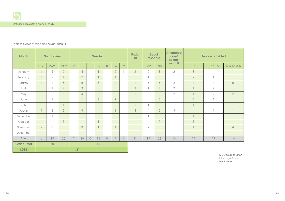D = Documentation LA = Legal Advice  $R =$  Referral

| <b>Month</b>       |                | No. of cases   |                |    |                |            | Gender         |             |                |           | <b>Under</b><br>18 | <b>Legal</b><br>response |                |                          |                |                   |                |  |  |  |  |  |  | <b>Attempted</b><br>rape/<br>sexual |  | <b>Service provided</b> |
|--------------------|----------------|----------------|----------------|----|----------------|------------|----------------|-------------|----------------|-----------|--------------------|--------------------------|----------------|--------------------------|----------------|-------------------|----------------|--|--|--|--|--|--|-------------------------------------|--|-------------------------|
|                    | <b>HTY</b>     | <b>PYAY</b>    | <b>MLM</b>     | M  | F              |            | G              | $\mathsf B$ | <b>TW</b>      | <b>TM</b> |                    | Yes                      | <b>No</b>      | assault                  | $\mathsf{D}$   | <b>D &amp; LA</b> | D & LA & R     |  |  |  |  |  |  |                                     |  |                         |
| January            |                | 5              | $\overline{2}$ |    | $\overline{4}$ |            | $\overline{1}$ |             | $\overline{2}$ |           | $\overline{2}$     | $\overline{2}$           | 3              | $\overline{2}$           | 3              | $\overline{4}$    |                |  |  |  |  |  |  |                                     |  |                         |
| February           |                | $\overline{2}$ |                |    | $\overline{2}$ |            | $\overline{1}$ |             | $\overline{1}$ |           |                    |                          | 3              | $\overline{1}$           | $\overline{2}$ | $\mathbb{L}$      |                |  |  |  |  |  |  |                                     |  |                         |
| March              |                | $\overline{2}$ | 8              |    | 5              |            | $\mathcal{S}$  |             | $\overline{2}$ |           |                    | 5                        | 6              | $\overline{2}$           | $\overline{2}$ | $\overline{4}$    | 5              |  |  |  |  |  |  |                                     |  |                         |
| April              |                | ı              | $\overline{2}$ |    | 3              |            |                |             |                |           | $\overline{2}$     |                          | $\overline{2}$ | $\overline{2}$           | $\overline{1}$ | $\overline{2}$    |                |  |  |  |  |  |  |                                     |  |                         |
| May                |                | $\overline{2}$ | 3 <sup>1</sup> |    | $\mathcal{S}$  |            | $\overline{2}$ |             |                |           |                    | $\overline{2}$           | 3              | $\overline{2}$           | $\overline{1}$ | $\overline{2}$    | $\overline{2}$ |  |  |  |  |  |  |                                     |  |                         |
| June               |                | $\overline{1}$ | $\overline{4}$ |    | $\overline{1}$ |            | $\overline{2}$ |             | $\overline{2}$ |           |                    |                          | 5              |                          | $\overline{2}$ | 3                 |                |  |  |  |  |  |  |                                     |  |                         |
| July               |                |                |                |    |                |            |                |             |                |           |                    |                          |                |                          | $\overline{1}$ |                   |                |  |  |  |  |  |  |                                     |  |                         |
| August             |                | $\overline{2}$ | $\mathcal{S}$  |    | 5              |            |                |             |                |           | $\overline{4}$     | $\overline{4}$           | $\overline{2}$ | 3                        | $\sqrt{4}$     |                   |                |  |  |  |  |  |  |                                     |  |                         |
| September          |                | $\overline{1}$ |                |    |                |            |                |             |                |           |                    |                          |                |                          | $\overline{1}$ |                   |                |  |  |  |  |  |  |                                     |  |                         |
| October            |                |                |                |    |                |            | $\overline{1}$ |             |                |           |                    |                          | $\overline{1}$ |                          | $\overline{1}$ |                   |                |  |  |  |  |  |  |                                     |  |                         |
| November           | $\overline{2}$ | 3              |                |    | 3              |            | $\overline{1}$ |             |                |           |                    | $\overline{2}$           | 3              | $\overline{\phantom{a}}$ | $\overline{1}$ |                   | $\overline{4}$ |  |  |  |  |  |  |                                     |  |                         |
| December           |                |                |                |    |                |            |                |             |                |           |                    |                          |                |                          |                |                   |                |  |  |  |  |  |  |                                     |  |                         |
| Total              | 6              | 19             | 25             |    | 28             | $\bigcirc$ | 11             | $\bigcirc$  | 9              |           | 11                 | 19                       | 28             | 13                       | 19             | 17                | 14             |  |  |  |  |  |  |                                     |  |                         |
| <b>Grand Total</b> |                | 50             |                | 50 |                |            |                |             |                |           |                    |                          |                |                          |                |                   |                |  |  |  |  |  |  |                                     |  |                         |
| <b>LGBT</b>        |                |                |                | 21 |                |            |                |             |                |           |                    |                          |                |                          |                |                   |                |  |  |  |  |  |  |                                     |  |                         |

### Table 2: Cases of rape and sexual assault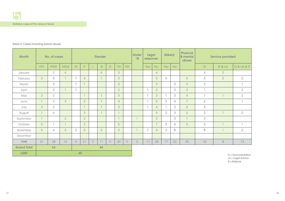| <b>Month</b>       |                | No. of cases   |                | Gender         |                |            |                |            |                | <b>Under</b><br>18 | <b>Bribery</b><br><b>Legal</b><br>response |                | <b>Physical</b><br>& mental<br>abuse | <b>Service provided</b> |                |                          |                |                   |                     |
|--------------------|----------------|----------------|----------------|----------------|----------------|------------|----------------|------------|----------------|--------------------|--------------------------------------------|----------------|--------------------------------------|-------------------------|----------------|--------------------------|----------------|-------------------|---------------------|
|                    | <b>HTY</b>     | <b>PYAY</b>    | <b>MLM</b>     | M              | F.             |            | G              | B          | TW             | <b>TM</b>          |                                            | Yes            | <b>No</b>                            | Yes                     | <b>No</b>      |                          | $\mathsf D$    | <b>D &amp; LA</b> | D & LA & R          |
| January            |                | $\overline{2}$ | $\overline{4}$ |                |                |            | $\overline{4}$ |            | 3 <sup>1</sup> |                    |                                            |                | 6                                    |                         |                |                          | $\overline{4}$ | $\overline{2}$    |                     |
| February           | 3 <sup>1</sup> | 5              | $\mathbb{I}$   |                | $\overline{4}$ |            | $\overline{1}$ |            | $\mathfrak{S}$ |                    |                                            |                | 5                                    | $\overline{4}$          |                | 6                        | 5              | $\overline{2}$    | $\overline{2}$      |
| March              |                | 3              |                | л              | $\overline{1}$ |            |                |            | $\overline{2}$ |                    |                                            |                | $\overline{3}$                       |                         | 3              | $\mathcal{S}$            | $\overline{2}$ |                   | I.                  |
| April              |                | $\overline{2}$ | $\overline{1}$ | J.             |                |            |                |            | $\overline{2}$ |                    |                                            |                | $\overline{2}$                       |                         | $\overline{2}$ | 3                        | $\overline{1}$ |                   | $\overline{2}$      |
| May                | 2 <sup>1</sup> | $\overline{2}$ |                |                | $\overline{1}$ |            | $\overline{1}$ |            | $\mathcal{S}$  |                    |                                            |                | $\mathcal{S}$                        |                         | 3              | $\overline{4}$           | $\overline{1}$ |                   | $\overline{2}$      |
| June               |                | 3              | 3 <sup>1</sup> |                | $\overline{2}$ |            | $\overline{1}$ |            | $\overline{4}$ |                    |                                            |                | 6                                    | 3                       | $\overline{4}$ | $\overline{7}$           | 6              |                   | ı                   |
| July               | 3 <sup>1</sup> | $\overline{2}$ |                |                | $\overline{1}$ |            | $\overline{1}$ |            | $\mathcal{S}$  |                    |                                            |                | $\overline{4}$                       |                         | $\overline{2}$ | $\overline{4}$           | 5              |                   |                     |
| August             |                | $\sqrt{2}$     |                |                | $\mathfrak{S}$ |            | $\overline{1}$ |            | $\overline{1}$ |                    |                                            |                | 5                                    | $\overline{2}$          | 3              | $\overline{2}$           | $\overline{2}$ |                   | $\overline{2}$      |
| September          |                |                | $\overline{2}$ |                | $\overline{2}$ |            |                |            | $\overline{1}$ |                    |                                            |                | $\mathcal{S}$                        |                         | 3              | $\overline{\phantom{a}}$ | 3              |                   |                     |
| October            | 5              |                | $\overline{1}$ |                | $\overline{2}$ |            |                |            | 5              |                    |                                            |                | $\overline{7}$                       | 3                       | $\overline{4}$ | 5                        | 5              |                   | $\mathbb T$         |
| November           | 5              | $\overline{4}$ | $\overline{2}$ | $\overline{2}$ | 5              |            | $\overline{2}$ |            | $\overline{2}$ |                    |                                            | $\overline{7}$ | $\overline{4}$                       | 3                       | $8\,$          |                          | 8              |                   | $\overline{2}$      |
| December           |                |                |                |                |                |            |                |            |                |                    |                                            |                |                                      |                         |                |                          |                |                   |                     |
| <b>Total</b>       | 21             | 28             | 14             | 5              | 21             | $\bigcirc$ | 11             | $\bigcirc$ | 29             | $\bigcirc$         | $\overline{2}$                             | 11             | 48                                   | 17                      | 32             | 35                       | 42             | $8\,$             | 13                  |
| <b>Grand Total</b> |                | 63             |                |                |                |            | 66             |            |                |                    |                                            |                |                                      |                         |                |                          |                |                   |                     |
| <b>LGBT</b>        |                |                |                |                | 40             |            |                |            |                |                    |                                            |                |                                      |                         |                |                          |                |                   | $D = Documentation$ |

D = Documentation LA = Legal Advice  $R =$  Referral

### Table 3: Cases involving police abuse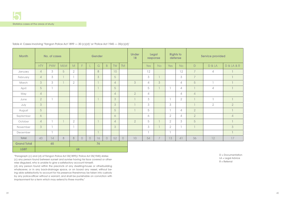| <b>Month</b>       |                | No. of cases   |                |                          |                                  |            | Gender |                |                |           | <b>Under</b><br>18 | Legal<br>response |                | <b>Rights to</b><br>defense |                | <b>Service provided</b> |                |                |  |
|--------------------|----------------|----------------|----------------|--------------------------|----------------------------------|------------|--------|----------------|----------------|-----------|--------------------|-------------------|----------------|-----------------------------|----------------|-------------------------|----------------|----------------|--|
|                    | <b>HTY</b>     | <b>PYAY</b>    | <b>MLM</b>     | M                        | F                                |            | G      | $\overline{B}$ | <b>TW</b>      | <b>TM</b> |                    | Yes               | No             | Yes                         | No             | $\mathsf{D}$            | D & LA         | D & LA & R     |  |
| January            | $\overline{4}$ | $3 -$          | 5              | $\overline{2}$           |                                  |            | 8      |                | 10             |           |                    | 12                |                |                             | 12             | $\overline{7}$          | $\overline{4}$ |                |  |
| February           | $\overline{4}$ | 3 <sup>1</sup> | $\overline{1}$ |                          |                                  |            | 3      |                | 5              |           |                    | 3                 | $\overline{1}$ |                             | $\mathcal{S}$  | $\overline{7}$          |                |                |  |
| March              | 3              | $3 -$          | $\overline{1}$ | $\overline{2}$           |                                  |            |        |                | $\overline{4}$ |           | $\mathcal{S}$      | $\overline{4}$    | $\mathcal{S}$  |                             | $\overline{4}$ | 5                       | I.             |                |  |
| April              | 5              |                |                |                          |                                  |            |        |                | 5              |           |                    | 5                 |                |                             | $\overline{4}$ |                         | 4              |                |  |
| May                | $\overline{4}$ |                |                |                          |                                  |            |        |                | $\overline{4}$ |           | $\overline{2}$     | $\overline{4}$    |                |                             | $\overline{4}$ | $\overline{4}$          |                |                |  |
| June               | $\overline{2}$ |                |                |                          |                                  |            |        |                | 3              |           |                    | 3                 |                |                             | $\overline{2}$ |                         | п              |                |  |
| July               | 3              |                |                |                          |                                  |            |        |                | $\mathcal{S}$  |           |                    | $\mathcal{S}$     |                | $\mathcal{S}$               |                |                         | $\overline{2}$ | $\overline{2}$ |  |
| August             | 5              |                |                |                          |                                  |            |        |                | 5              |           |                    | 5                 |                |                             | $\overline{4}$ | $\overline{2}$          |                |                |  |
| September          | $\sigma$       |                |                |                          |                                  |            |        |                | 6              |           |                    | 6                 |                | $\overline{2}$              | $\overline{4}$ | $\overline{2}$          |                | $\sqrt{4}$     |  |
| October            | $\overline{4}$ |                |                | $\overline{2}$           |                                  |            |        |                | $\overline{4}$ |           | $\overline{2}$     | 5                 |                | $\overline{2}$              | $3 -$          | 5                       |                |                |  |
| November           | $\mathcal{S}$  |                |                | $\overline{\phantom{a}}$ |                                  |            |        |                | $\mathcal{S}$  |           |                    | 3                 |                | $\overline{2}$              |                |                         |                | 3              |  |
| December           |                |                |                |                          |                                  |            |        |                |                |           |                    |                   |                |                             |                |                         |                |                |  |
| Total              | 43             | 14             | 8              | 8                        | $\begin{array}{c} \n\end{array}$ | $\bigcirc$ | 16     | $\bigcirc$     | 52             | $\cup$    | $10$               | 54                | 7              | 13                          | 41             | 36                      | 12             | 17             |  |
| <b>Grand Total</b> | 65<br>76       |                |                |                          |                                  |            |        |                |                |           |                    |                   |                |                             |                |                         |                |                |  |
| <b>LGBT</b>        | 68             |                |                |                          |                                  |            |        |                |                |           |                    |                   |                |                             |                |                         |                |                |  |

Table 4: Cases involving 'Yangon Police Act 1899 - 30 (c)(d)' or 'Police Act 1945 - 35(c)(d)'

"Paragraph (c) and (d) of Yangon Police Act 30(1899)/ Police Act 35(1945) states: (c) any person found between sunset and sunrise having his face covered or otherwise disguised, who is unable to give a satisfactory account himself;

(d) any person found within the precincts of any dwelling-house or otherbuilding whatsoever, or in any back-drainage space, or on board any vessel, without being able satisfactorily to account for his presence thereinmay be taken into custody by any police-officer without a warrant, and shall be punishable on conviction with imprisonment for a term which may extend to three months."

D = Documentation LA = Legal Advice R = Referral